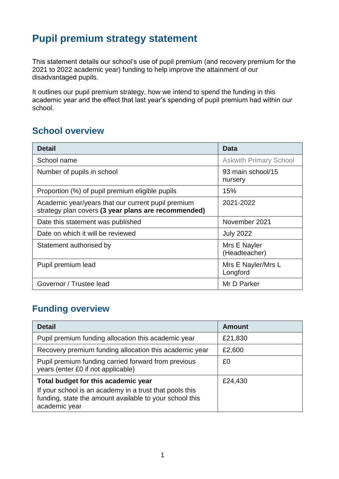# **Pupil premium strategy statement**

This statement details our school's use of pupil premium (and recovery premium for the 2021 to 2022 academic year) funding to help improve the attainment of our disadvantaged pupils.

It outlines our pupil premium strategy, how we intend to spend the funding in this academic year and the effect that last year's spending of pupil premium had within our school.

#### **School overview**

| <b>Detail</b>                                                                                             | Data                           |
|-----------------------------------------------------------------------------------------------------------|--------------------------------|
| School name                                                                                               | <b>Askwith Primary School</b>  |
| 93 main school/15<br>Number of pupils in school<br>nursery                                                |                                |
| Proportion (%) of pupil premium eligible pupils                                                           | 15%                            |
| Academic year/years that our current pupil premium<br>strategy plan covers (3 year plans are recommended) | 2021-2022                      |
| Date this statement was published                                                                         | November 2021                  |
| Date on which it will be reviewed                                                                         | <b>July 2022</b>               |
| Statement authorised by                                                                                   | Mrs E Nayler<br>(Headteacher)  |
| Pupil premium lead                                                                                        | Mrs E Nayler/Mrs L<br>Longford |
| Governor / Trustee lead                                                                                   | Mr D Parker                    |

## **Funding overview**

| <b>Detail</b>                                                                                                                       | <b>Amount</b> |
|-------------------------------------------------------------------------------------------------------------------------------------|---------------|
| Pupil premium funding allocation this academic year                                                                                 | £21,830       |
| Recovery premium funding allocation this academic year                                                                              | £2,600        |
| Pupil premium funding carried forward from previous<br>years (enter £0 if not applicable)                                           | £0            |
| Total budget for this academic year                                                                                                 | £24,430       |
| If your school is an academy in a trust that pools this<br>funding, state the amount available to your school this<br>academic year |               |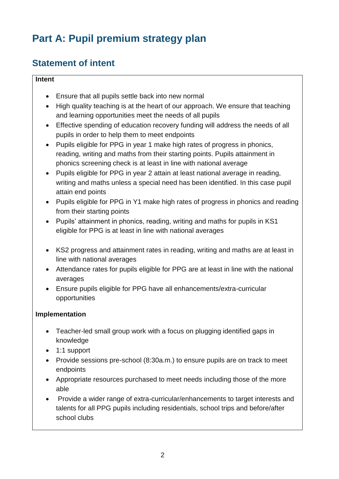# **Part A: Pupil premium strategy plan**

# **Statement of intent**

#### **Intent**

- Ensure that all pupils settle back into new normal
- High quality teaching is at the heart of our approach. We ensure that teaching and learning opportunities meet the needs of all pupils
- Effective spending of education recovery funding will address the needs of all pupils in order to help them to meet endpoints
- Pupils eligible for PPG in year 1 make high rates of progress in phonics, reading, writing and maths from their starting points. Pupils attainment in phonics screening check is at least in line with national average
- Pupils eligible for PPG in year 2 attain at least national average in reading, writing and maths unless a special need has been identified. In this case pupil attain end points
- Pupils eligible for PPG in Y1 make high rates of progress in phonics and reading from their starting points
- Pupils' attainment in phonics, reading, writing and maths for pupils in KS1 eligible for PPG is at least in line with national averages
- KS2 progress and attainment rates in reading, writing and maths are at least in line with national averages
- Attendance rates for pupils eligible for PPG are at least in line with the national averages
- Ensure pupils eligible for PPG have all enhancements/extra-curricular opportunities

#### **Implementation**

- Teacher-led small group work with a focus on plugging identified gaps in knowledge
- 1:1 support
- Provide sessions pre-school (8:30a.m.) to ensure pupils are on track to meet endpoints
- Appropriate resources purchased to meet needs including those of the more able
- Provide a wider range of extra-curricular/enhancements to target interests and talents for all PPG pupils including residentials, school trips and before/after school clubs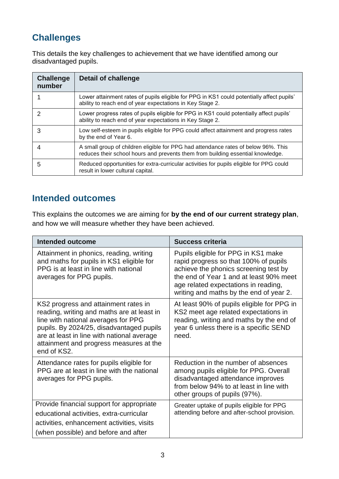# **Challenges**

This details the key challenges to achievement that we have identified among our disadvantaged pupils.

| <b>Challenge</b><br>number | <b>Detail of challenge</b>                                                                                                                                            |
|----------------------------|-----------------------------------------------------------------------------------------------------------------------------------------------------------------------|
|                            | Lower attainment rates of pupils eligible for PPG in KS1 could potentially affect pupils'<br>ability to reach end of year expectations in Key Stage 2.                |
| 2                          | Lower progress rates of pupils eligible for PPG in KS1 could potentially affect pupils'<br>ability to reach end of year expectations in Key Stage 2.                  |
| 3                          | Low self-esteem in pupils eligible for PPG could affect attainment and progress rates<br>by the end of Year 6.                                                        |
| 4                          | A small group of children eligible for PPG had attendance rates of below 96%. This<br>reduces their school hours and prevents them from building essential knowledge. |
| 5                          | Reduced opportunities for extra-curricular activities for pupils eligible for PPG could<br>result in lower cultural capital.                                          |

## **Intended outcomes**

This explains the outcomes we are aiming for **by the end of our current strategy plan**, and how we will measure whether they have been achieved.

| <b>Intended outcome</b>                                                                                                                                                                                                                                                       | <b>Success criteria</b>                                                                                                                                                                                                                             |
|-------------------------------------------------------------------------------------------------------------------------------------------------------------------------------------------------------------------------------------------------------------------------------|-----------------------------------------------------------------------------------------------------------------------------------------------------------------------------------------------------------------------------------------------------|
| Attainment in phonics, reading, writing<br>and maths for pupils in KS1 eligible for<br>PPG is at least in line with national<br>averages for PPG pupils.                                                                                                                      | Pupils eligible for PPG in KS1 make<br>rapid progress so that 100% of pupils<br>achieve the phonics screening test by<br>the end of Year 1 and at least 90% meet<br>age related expectations in reading,<br>writing and maths by the end of year 2. |
| KS2 progress and attainment rates in<br>reading, writing and maths are at least in<br>line with national averages for PPG<br>pupils. By 2024/25, disadvantaged pupils<br>are at least in line with national average<br>attainment and progress measures at the<br>end of KS2. | At least 90% of pupils eligible for PPG in<br>KS2 meet age related expectations in<br>reading, writing and maths by the end of<br>year 6 unless there is a specific SEND<br>need.                                                                   |
| Attendance rates for pupils eligible for<br>PPG are at least in line with the national<br>averages for PPG pupils.                                                                                                                                                            | Reduction in the number of absences<br>among pupils eligible for PPG. Overall<br>disadvantaged attendance improves<br>from below 94% to at least in line with<br>other groups of pupils (97%).                                                      |
| Provide financial support for appropriate<br>educational activities, extra-curricular<br>activities, enhancement activities, visits<br>(when possible) and before and after                                                                                                   | Greater uptake of pupils eligible for PPG<br>attending before and after-school provision.                                                                                                                                                           |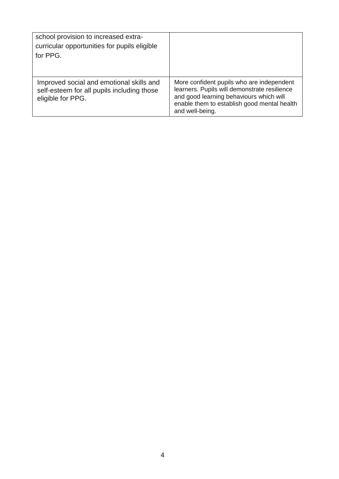| school provision to increased extra-<br>curricular opportunities for pupils eligible<br>for PPG.            |                                                                                                                                                                                                        |
|-------------------------------------------------------------------------------------------------------------|--------------------------------------------------------------------------------------------------------------------------------------------------------------------------------------------------------|
| Improved social and emotional skills and<br>self-esteem for all pupils including those<br>eligible for PPG. | More confident pupils who are independent<br>learners. Pupils will demonstrate resilience<br>and good learning behaviours which will<br>enable them to establish good mental health<br>and well-being. |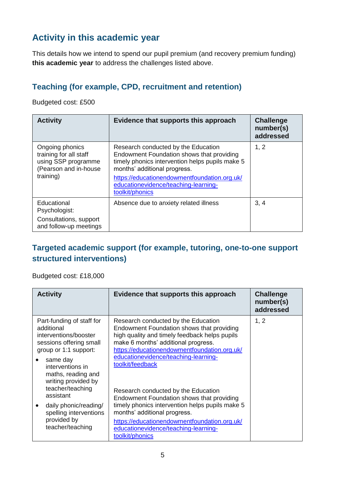# **Activity in this academic year**

This details how we intend to spend our pupil premium (and recovery premium funding) **this academic year** to address the challenges listed above.

#### **Teaching (for example, CPD, recruitment and retention)**

Budgeted cost: £500

| <b>Activity</b>                                                                                        | Evidence that supports this approach                                                                                                                                                                                                                                           | <b>Challenge</b><br>number(s)<br>addressed |
|--------------------------------------------------------------------------------------------------------|--------------------------------------------------------------------------------------------------------------------------------------------------------------------------------------------------------------------------------------------------------------------------------|--------------------------------------------|
| Ongoing phonics<br>training for all staff<br>using SSP programme<br>(Pearson and in-house<br>training) | Research conducted by the Education<br>Endowment Foundation shows that providing<br>timely phonics intervention helps pupils make 5<br>months' additional progress.<br>https://educationendowmentfoundation.org.uk/<br>educationevidence/teaching-learning-<br>toolkit/phonics | 1, 2                                       |
| Educational<br>Psychologist:                                                                           | Absence due to anxiety related illness                                                                                                                                                                                                                                         | 3, 4                                       |
| Consultations, support<br>and follow-up meetings                                                       |                                                                                                                                                                                                                                                                                |                                            |

#### **Targeted academic support (for example, tutoring, one-to-one support structured interventions)**

Budgeted cost: £18,000

| <b>Activity</b>                                                                                                      | Evidence that supports this approach                                                                                                                                                                                     | <b>Challenge</b><br>number(s)<br>addressed |
|----------------------------------------------------------------------------------------------------------------------|--------------------------------------------------------------------------------------------------------------------------------------------------------------------------------------------------------------------------|--------------------------------------------|
| Part-funding of staff for<br>additional<br>interventions/booster<br>sessions offering small<br>group or 1:1 support: | Research conducted by the Education<br>Endowment Foundation shows that providing<br>high quality and timely feedback helps pupils<br>make 6 months' additional progress.<br>https://educationendowmentfoundation.org.uk/ | 1, 2                                       |
| same day<br>interventions in<br>maths, reading and<br>writing provided by<br>teacher/teaching<br>assistant           | educationevidence/teaching-learning-<br>toolkit/feedback<br>Research conducted by the Education<br>Endowment Foundation shows that providing                                                                             |                                            |
| daily phonic/reading/<br>spelling interventions<br>provided by<br>teacher/teaching                                   | timely phonics intervention helps pupils make 5<br>months' additional progress.<br>https://educationendowmentfoundation.org.uk/<br>educationevidence/teaching-learning-<br>toolkit/phonics                               |                                            |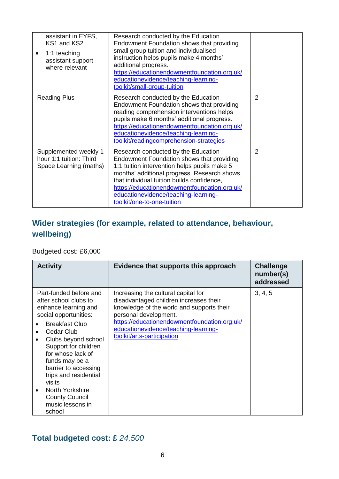| assistant in EYFS,<br>KS1 and KS2<br>1:1 teaching<br>$\bullet$<br>assistant support<br>where relevant | Research conducted by the Education<br>Endowment Foundation shows that providing<br>small group tuition and individualised<br>instruction helps pupils make 4 months'<br>additional progress.<br>https://educationendowmentfoundation.org.uk/<br>educationevidence/teaching-learning-<br>toolkit/small-group-tuition                                |                |
|-------------------------------------------------------------------------------------------------------|-----------------------------------------------------------------------------------------------------------------------------------------------------------------------------------------------------------------------------------------------------------------------------------------------------------------------------------------------------|----------------|
| <b>Reading Plus</b>                                                                                   | Research conducted by the Education<br>Endowment Foundation shows that providing<br>reading comprehension interventions helps<br>pupils make 6 months' additional progress.<br>https://educationendowmentfoundation.org.uk/<br>educationevidence/teaching-learning-<br>toolkit/readingcomprehension-strategies                                      | $\overline{2}$ |
| Supplemented weekly 1<br>hour 1:1 tuition: Third<br>Space Learning (maths)                            | Research conducted by the Education<br>Endowment Foundation shows that providing<br>1:1 tuition intervention helps pupils make 5<br>months' additional progress. Research shows<br>that individual tuition builds confidence,<br>https://educationendowmentfoundation.org.uk/<br>educationevidence/teaching-learning-<br>toolkit/one-to-one-tuition | 2              |

### **Wider strategies (for example, related to attendance, behaviour, wellbeing)**

Budgeted cost: £6,000

| <b>Activity</b>                                                                                                                                                                      | Evidence that supports this approach                                                                                                                | <b>Challenge</b><br>number(s)<br>addressed |
|--------------------------------------------------------------------------------------------------------------------------------------------------------------------------------------|-----------------------------------------------------------------------------------------------------------------------------------------------------|--------------------------------------------|
| Part-funded before and<br>after school clubs to<br>enhance learning and<br>social opportunities:                                                                                     | Increasing the cultural capital for<br>disadvantaged children increases their<br>knowledge of the world and supports their<br>personal development. | 3, 4, 5                                    |
| <b>Breakfast Club</b><br>Cedar Club<br>Clubs beyond school<br>Support for children<br>for whose lack of<br>funds may be a<br>barrier to accessing<br>trips and residential<br>visits | https://educationendowmentfoundation.org.uk/<br>educationevidence/teaching-learning-<br>toolkit/arts-participation                                  |                                            |
| North Yorkshire<br><b>County Council</b><br>music lessons in<br>school                                                                                                               |                                                                                                                                                     |                                            |

#### **Total budgeted cost: £** *24,500*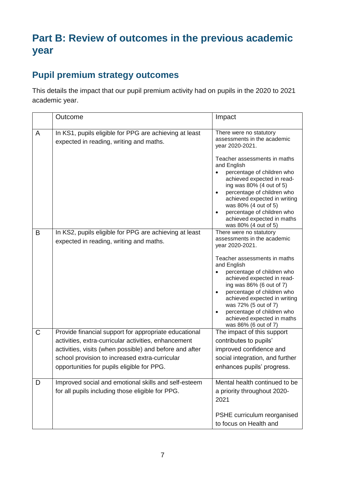# **Part B: Review of outcomes in the previous academic year**

## **Pupil premium strategy outcomes**

This details the impact that our pupil premium activity had on pupils in the 2020 to 2021 academic year.

|             | Outcome                                                                                                         | Impact                                                                                                                                                                                                                    |
|-------------|-----------------------------------------------------------------------------------------------------------------|---------------------------------------------------------------------------------------------------------------------------------------------------------------------------------------------------------------------------|
| A           | In KS1, pupils eligible for PPG are achieving at least<br>expected in reading, writing and maths.               | There were no statutory<br>assessments in the academic<br>year 2020-2021.                                                                                                                                                 |
|             |                                                                                                                 | Teacher assessments in maths<br>and English<br>percentage of children who<br>achieved expected in read-<br>ing was 80% (4 out of 5)<br>percentage of children who<br>achieved expected in writing<br>was 80% (4 out of 5) |
|             |                                                                                                                 | percentage of children who<br>$\bullet$<br>achieved expected in maths<br>was 80% (4 out of 5)                                                                                                                             |
| B           | In KS2, pupils eligible for PPG are achieving at least<br>expected in reading, writing and maths.               | There were no statutory<br>assessments in the academic<br>year 2020-2021.                                                                                                                                                 |
|             |                                                                                                                 | Teacher assessments in maths<br>and English<br>percentage of children who                                                                                                                                                 |
|             |                                                                                                                 | achieved expected in read-<br>ing was 86% (6 out of 7)                                                                                                                                                                    |
|             |                                                                                                                 | percentage of children who<br>achieved expected in writing<br>was 72% (5 out of 7)                                                                                                                                        |
|             |                                                                                                                 | percentage of children who<br>achieved expected in maths<br>was 86% (6 out of 7)                                                                                                                                          |
| $\mathsf C$ | Provide financial support for appropriate educational                                                           | The impact of this support                                                                                                                                                                                                |
|             | activities, extra-curricular activities, enhancement<br>activities, visits (when possible) and before and after | contributes to pupils'<br>improved confidence and                                                                                                                                                                         |
|             | school provision to increased extra-curricular                                                                  | social integration, and further                                                                                                                                                                                           |
|             | opportunities for pupils eligible for PPG.                                                                      | enhances pupils' progress.                                                                                                                                                                                                |
| D           | Improved social and emotional skills and self-esteem                                                            | Mental health continued to be                                                                                                                                                                                             |
|             | for all pupils including those eligible for PPG.                                                                | a priority throughout 2020-<br>2021                                                                                                                                                                                       |
|             |                                                                                                                 | PSHE curriculum reorganised<br>to focus on Health and                                                                                                                                                                     |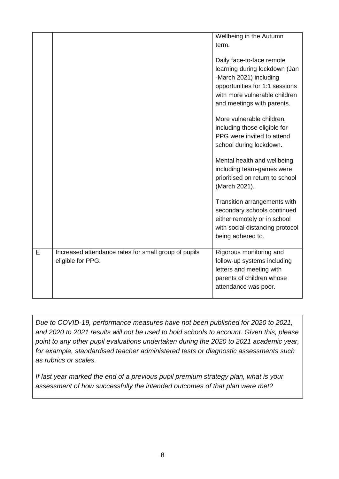|   |                                                                           | Wellbeing in the Autumn<br>term.                                                                                                                                                      |
|---|---------------------------------------------------------------------------|---------------------------------------------------------------------------------------------------------------------------------------------------------------------------------------|
|   |                                                                           | Daily face-to-face remote<br>learning during lockdown (Jan<br>-March 2021) including<br>opportunities for 1:1 sessions<br>with more vulnerable children<br>and meetings with parents. |
|   |                                                                           | More vulnerable children,<br>including those eligible for<br>PPG were invited to attend<br>school during lockdown.                                                                    |
|   |                                                                           | Mental health and wellbeing<br>including team-games were<br>prioritised on return to school<br>(March 2021).                                                                          |
|   |                                                                           | Transition arrangements with<br>secondary schools continued<br>either remotely or in school<br>with social distancing protocol<br>being adhered to.                                   |
| Е | Increased attendance rates for small group of pupils<br>eligible for PPG. | Rigorous monitoring and<br>follow-up systems including<br>letters and meeting with<br>parents of children whose<br>attendance was poor.                                               |

*Due to COVID-19, performance measures have not been published for 2020 to 2021, and 2020 to 2021 results will not be used to hold schools to account. Given this, please point to any other pupil evaluations undertaken during the 2020 to 2021 academic year, for example, standardised teacher administered tests or diagnostic assessments such as rubrics or scales.*

*If last year marked the end of a previous pupil premium strategy plan, what is your assessment of how successfully the intended outcomes of that plan were met?*